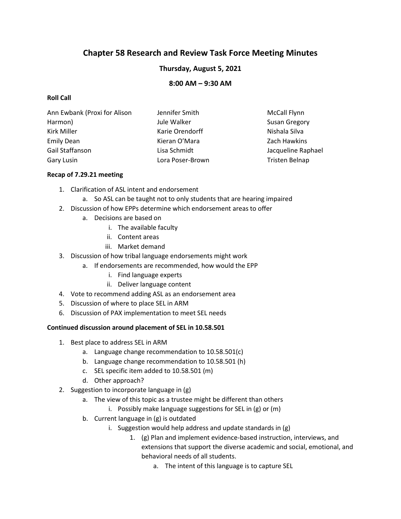# **Chapter 58 Research and Review Task Force Meeting Minutes**

## **Thursday, August 5, 2021**

### **8:00 AM – 9:30 AM**

### **Roll Call**

| Ann Ewbank (Proxi for Alison | Jennifer Smith   | <b>McCall Flynn</b>  |
|------------------------------|------------------|----------------------|
| Harmon)                      | Jule Walker      | <b>Susan Gregory</b> |
| Kirk Miller                  | Karie Orendorff  | Nishala Silva        |
| Emily Dean                   | Kieran O'Mara    | Zach Hawkins         |
| Gail Staffanson              | Lisa Schmidt     | Jacqueline Raphael   |
| Gary Lusin                   | Lora Poser-Brown | Tristen Belnap       |

#### **Recap of 7.29.21 meeting**

- 1. Clarification of ASL intent and endorsement
	- a. So ASL can be taught not to only students that are hearing impaired
- 2. Discussion of how EPPs determine which endorsement areas to offer
	- a. Decisions are based on
		- i. The available faculty
		- ii. Content areas
		- iii. Market demand
- 3. Discussion of how tribal language endorsements might work
	- a. If endorsements are recommended, how would the EPP
		- i. Find language experts
		- ii. Deliver language content
- 4. Vote to recommend adding ASL as an endorsement area
- 5. Discussion of where to place SEL in ARM
- 6. Discussion of PAX implementation to meet SEL needs

#### **Continued discussion around placement of SEL in 10.58.501**

- 1. Best place to address SEL in ARM
	- a. Language change recommendation to 10.58.501(c)
	- b. Language change recommendation to 10.58.501 (h)
	- c. SEL specific item added to 10.58.501 (m)
	- d. Other approach?
- 2. Suggestion to incorporate language in (g)
	- a. The view of this topic as a trustee might be different than others
		- i. Possibly make language suggestions for SEL in (g) or (m)
	- b. Current language in (g) is outdated
		- i. Suggestion would help address and update standards in (g)
			- 1. (g) Plan and implement evidence-based instruction, interviews, and extensions that support the diverse academic and social, emotional, and behavioral needs of all students.
				- a. The intent of this language is to capture SEL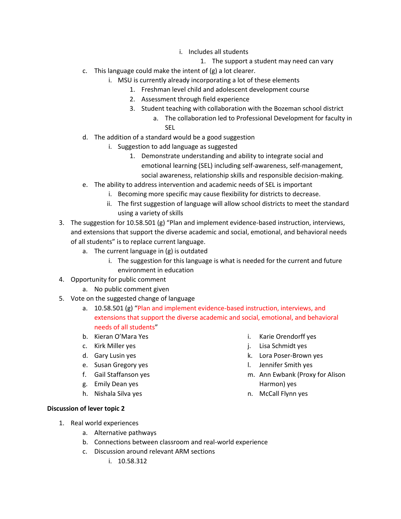- i. Includes all students
	- 1. The support a student may need can vary
- c. This language could make the intent of (g) a lot clearer.
	- i. MSU is currently already incorporating a lot of these elements
		- 1. Freshman level child and adolescent development course
		- 2. Assessment through field experience
		- 3. Student teaching with collaboration with the Bozeman school district
			- a. The collaboration led to Professional Development for faculty in SEL
- d. The addition of a standard would be a good suggestion
	- i. Suggestion to add language as suggested
		- 1. Demonstrate understanding and ability to integrate social and emotional learning (SEL) including self-awareness, self-management, social awareness, relationship skills and responsible decision-making.
- e. The ability to address intervention and academic needs of SEL is important
	- i. Becoming more specific may cause flexibility for districts to decrease.
	- ii. The first suggestion of language will allow school districts to meet the standard using a variety of skills
- 3. The suggestion for 10.58.501 (g) "Plan and implement evidence-based instruction, interviews, and extensions that support the diverse academic and social, emotional, and behavioral needs of all students" is to replace current language.
	- a. The current language in (g) is outdated
		- i. The suggestion for this language is what is needed for the current and future environment in education
- 4. Opportunity for public comment
	- a. No public comment given
- 5. Vote on the suggested change of language
	- a. 10.58.501 (g) "Plan and implement evidence-based instruction, interviews, and extensions that support the diverse academic and social, emotional, and behavioral needs of all students"
	- b. Kieran O'Mara Yes
	- c. Kirk Miller yes
	- d. Gary Lusin yes
	- e. Susan Gregory yes
	- f. Gail Staffanson yes
	- g. Emily Dean yes
	- h. Nishala Silva yes
- i. Karie Orendorff yes j. Lisa Schmidt yes
- k. Lora Poser-Brown yes
- l. Jennifer Smith yes
- m. Ann Ewbank (Proxy for Alison Harmon) yes
- n. McCall Flynn yes

- **Discussion of lever topic 2** 
	- 1. Real world experiences
		- a. Alternative pathways
		- b. Connections between classroom and real-world experience
		- c. Discussion around relevant ARM sections
			- i. 10.58.312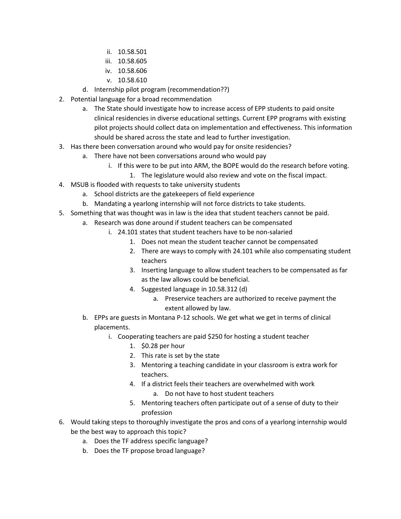- ii. 10.58.501
- iii. 10.58.605
- iv. 10.58.606
- v. 10.58.610
- d. Internship pilot program (recommendation??)
- 2. Potential language for a broad recommendation
	- a. The State should investigate how to increase access of EPP students to paid onsite clinical residencies in diverse educational settings. Current EPP programs with existing pilot projects should collect data on implementation and effectiveness. This information should be shared across the state and lead to further investigation.
- 3. Has there been conversation around who would pay for onsite residencies?
	- a. There have not been conversations around who would pay
		- i. If this were to be put into ARM, the BOPE would do the research before voting.
			- 1. The legislature would also review and vote on the fiscal impact.
- 4. MSUB is flooded with requests to take university students
	- a. School districts are the gatekeepers of field experience
	- b. Mandating a yearlong internship will not force districts to take students.
- 5. Something that was thought was in law is the idea that student teachers cannot be paid.
	- a. Research was done around if student teachers can be compensated
		- i. 24.101 states that student teachers have to be non-salaried
			- 1. Does not mean the student teacher cannot be compensated
			- 2. There are ways to comply with 24.101 while also compensating student teachers
			- 3. Inserting language to allow student teachers to be compensated as far as the law allows could be beneficial.
			- 4. Suggested language in 10.58.312 (d)
				- a. Preservice teachers are authorized to receive payment the extent allowed by law.
	- b. EPPs are guests in Montana P-12 schools. We get what we get in terms of clinical placements.
		- i. Cooperating teachers are paid \$250 for hosting a student teacher
			- 1. \$0.28 per hour
			- 2. This rate is set by the state
			- 3. Mentoring a teaching candidate in your classroom is extra work for teachers.
			- 4. If a district feels their teachers are overwhelmed with work
				- a. Do not have to host student teachers
			- 5. Mentoring teachers often participate out of a sense of duty to their profession
- 6. Would taking steps to thoroughly investigate the pros and cons of a yearlong internship would be the best way to approach this topic?
	- a. Does the TF address specific language?
	- b. Does the TF propose broad language?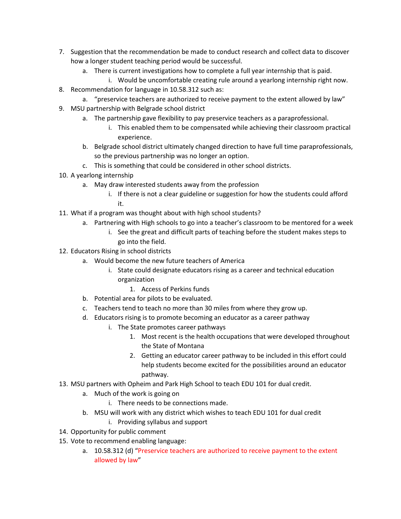- 7. Suggestion that the recommendation be made to conduct research and collect data to discover how a longer student teaching period would be successful.
	- a. There is current investigations how to complete a full year internship that is paid.
		- i. Would be uncomfortable creating rule around a yearlong internship right now.
- 8. Recommendation for language in 10.58.312 such as:
	- a. "preservice teachers are authorized to receive payment to the extent allowed by law"
- 9. MSU partnership with Belgrade school district
	- a. The partnership gave flexibility to pay preservice teachers as a paraprofessional.
		- i. This enabled them to be compensated while achieving their classroom practical experience.
	- b. Belgrade school district ultimately changed direction to have full time paraprofessionals, so the previous partnership was no longer an option.
	- c. This is something that could be considered in other school districts.
- 10. A yearlong internship
	- a. May draw interested students away from the profession
		- i. If there is not a clear guideline or suggestion for how the students could afford it.
- 11. What if a program was thought about with high school students?
	- a. Partnering with High schools to go into a teacher's classroom to be mentored for a week
		- i. See the great and difficult parts of teaching before the student makes steps to go into the field.
- 12. Educators Rising in school districts
	- a. Would become the new future teachers of America
		- i. State could designate educators rising as a career and technical education organization
			- 1. Access of Perkins funds
	- b. Potential area for pilots to be evaluated.
	- c. Teachers tend to teach no more than 30 miles from where they grow up.
	- d. Educators rising is to promote becoming an educator as a career pathway
		- i. The State promotes career pathways
			- 1. Most recent is the health occupations that were developed throughout the State of Montana
			- 2. Getting an educator career pathway to be included in this effort could help students become excited for the possibilities around an educator pathway.
- 13. MSU partners with Opheim and Park High School to teach EDU 101 for dual credit.
	- a. Much of the work is going on
		- i. There needs to be connections made.
	- b. MSU will work with any district which wishes to teach EDU 101 for dual credit
		- i. Providing syllabus and support
- 14. Opportunity for public comment
- 15. Vote to recommend enabling language:
	- a. 10.58.312 (d) "Preservice teachers are authorized to receive payment to the extent allowed by law"